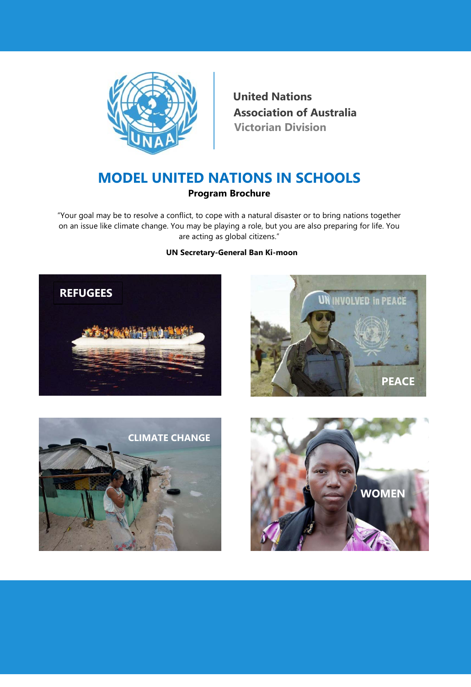

**United Nations Victorian Division Association of Australia** 

# **MODEL UNITED NATIONS IN SCHOOLS Program Brochure**

"Your goal may be to resolve a conflict, to cope with a natural disaster or to bring nations together on an issue like climate change. You may be playing a role, but you are also preparing for life. You are acting as global citizens."

## - **UN Secretary-General Ban Ki-moon**







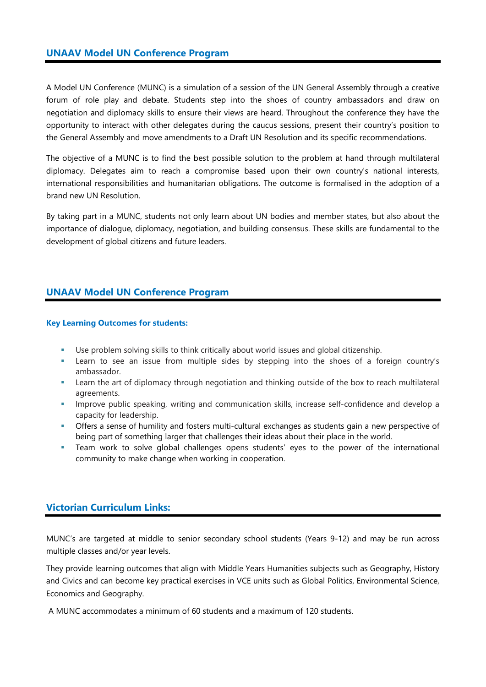## **UNAAV Model UN Conference Program**

A Model UN Conference (MUNC) is a simulation of a session of the UN General Assembly through a creative forum of role play and debate. Students step into the shoes of country ambassadors and draw on negotiation and diplomacy skills to ensure their views are heard. Throughout the conference they have the opportunity to interact with other delegates during the caucus sessions, present their country's position to the General Assembly and move amendments to a Draft UN Resolution and its specific recommendations.

The objective of a MUNC is to find the best possible solution to the problem at hand through multilateral diplomacy. Delegates aim to reach a compromise based upon their own country's national interests, international responsibilities and humanitarian obligations. The outcome is formalised in the adoption of a brand new UN Resolution.

By taking part in a MUNC, students not only learn about UN bodies and member states, but also about the importance of dialogue, diplomacy, negotiation, and building consensus. These skills are fundamental to the development of global citizens and future leaders.

# **UNAAV Model UN Conference Program**

#### **Key Learning Outcomes for students:**

- Use problem solving skills to think critically about world issues and global citizenship.
- Learn to see an issue from multiple sides by stepping into the shoes of a foreign country's ambassador.
- Learn the art of diplomacy through negotiation and thinking outside of the box to reach multilateral agreements.
- **IMPROVE PUBLIC SPEAKING, WRITTED AND COMMUNICATION SKILLS, INCREAKS AND FIGEORATION CONFIDENCE** and develop a capacity for leadership.
- Offers a sense of humility and fosters multi-cultural exchanges as students gain a new perspective of being part of something larger that challenges their ideas about their place in the world.
- Team work to solve global challenges opens students' eyes to the power of the international community to make change when working in cooperation.

# **Victorian Curriculum Links:**

MUNC's are targeted at middle to senior secondary school students (Years 9-12) and may be run across multiple classes and/or year levels.

They provide learning outcomes that align with Middle Years Humanities subjects such as Geography, History and Civics and can become key practical exercises in VCE units such as Global Politics, Environmental Science, Economics and Geography.

A MUNC accommodates a minimum of 60 students and a maximum of 120 students.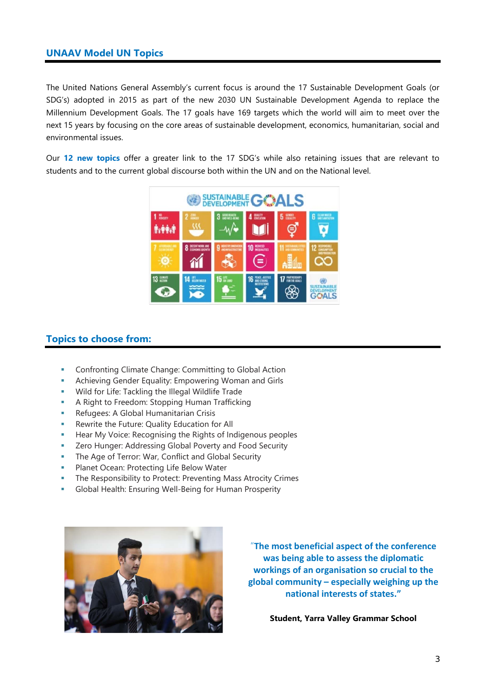## **UNAAV Model UN Topics**

The United Nations General Assembly's current focus is around the 17 Sustainable Development Goals (or SDG's) adopted in 2015 as part of the new 2030 UN Sustainable Development Agenda to replace the Millennium Development Goals. The 17 goals have 169 targets which the world will aim to meet over the next 15 years by focusing on the core areas of sustainable development, economics, humanitarian, social and environmental issues.

Our **12 new topics** offer a greater link to the 17 SDG's while also retaining issues that are relevant to students and to the current global discourse both within the UN and on the National level.



# **Topics to choose from:**

- Confronting Climate Change: Committing to Global Action
- Achieving Gender Equality: Empowering Woman and Girls
- Wild for Life: Tackling the Illegal Wildlife Trade
- **A Right to Freedom: Stopping Human Trafficking**
- **Refugees: A Global Humanitarian Crisis**
- **Rewrite the Future: Quality Education for All**
- **Hear My Voice: Recognising the Rights of Indigenous peoples**
- **EXECT** Zero Hunger: Addressing Global Poverty and Food Security
- The Age of Terror: War, Conflict and Global Security
- Planet Ocean: Protecting Life Below Water
- **The Responsibility to Protect: Preventing Mass Atrocity Crimes**
- Global Health: Ensuring Well-Being for Human Prosperity



"**The most beneficial aspect of the conference was being able to assess the diplomatic workings of an organisation so crucial to the global community – especially weighing up the national interests of states."**

**Student, Yarra Valley Grammar School**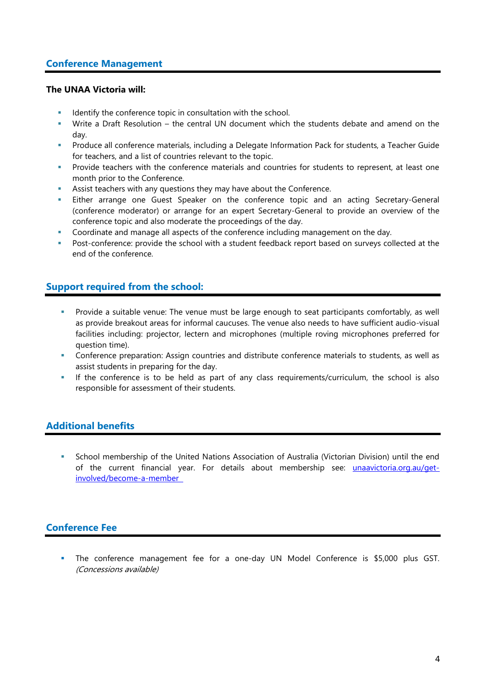# **Conference Management**

#### **The UNAA Victoria will:**

- Identify the conference topic in consultation with the school.
- Write a Draft Resolution the central UN document which the students debate and amend on the day.
- **Produce all conference materials, including a Delegate Information Pack for students, a Teacher Guide** for teachers, and a list of countries relevant to the topic.
- **Provide teachers with the conference materials and countries for students to represent, at least one** month prior to the Conference.
- Assist teachers with any questions they may have about the Conference.
- Either arrange one Guest Speaker on the conference topic and an acting Secretary-General (conference moderator) or arrange for an expert Secretary-General to provide an overview of the conference topic and also moderate the proceedings of the day.
- Coordinate and manage all aspects of the conference including management on the day.
- Post-conference: provide the school with a student feedback report based on surveys collected at the end of the conference.

# **Support required from the school:**

- Provide a suitable venue: The venue must be large enough to seat participants comfortably, as well as provide breakout areas for informal caucuses. The venue also needs to have sufficient audio-visual facilities including: projector, lectern and microphones (multiple roving microphones preferred for question time).
- Conference preparation: Assign countries and distribute conference materials to students, as well as assist students in preparing for the day.
- If the conference is to be held as part of any class requirements/curriculum, the school is also responsible for assessment of their students.

# **Additional benefits**

 School membership of the United Nations Association of Australia (Victorian Division) until the end of the current financial year. For details about membership see: unaavictoria.org.au/getinvolved/become-a-member

# **Conference Fee**

 The conference management fee for a one-day UN Model Conference is \$5,000 plus GST. (Concessions available)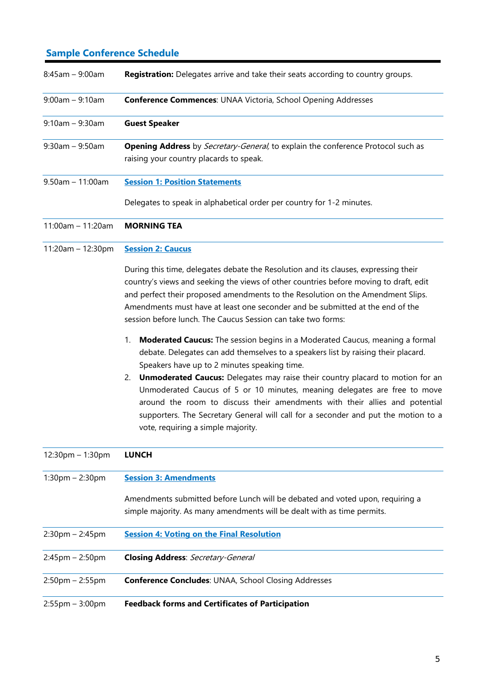# **Sample Conference Schedule**

| $8:45am - 9:00am$     | <b>Registration:</b> Delegates arrive and take their seats according to country groups.                                                                                                                                                                                                                                                                                                                          |
|-----------------------|------------------------------------------------------------------------------------------------------------------------------------------------------------------------------------------------------------------------------------------------------------------------------------------------------------------------------------------------------------------------------------------------------------------|
| $9:00am - 9:10am$     | <b>Conference Commences: UNAA Victoria, School Opening Addresses</b>                                                                                                                                                                                                                                                                                                                                             |
| $9:10am - 9:30am$     | <b>Guest Speaker</b>                                                                                                                                                                                                                                                                                                                                                                                             |
| $9:30$ am - $9:50$ am | <b>Opening Address</b> by <i>Secretary-General</i> , to explain the conference Protocol such as<br>raising your country placards to speak.                                                                                                                                                                                                                                                                       |
| $9.50$ am - 11:00am   | <b>Session 1: Position Statements</b>                                                                                                                                                                                                                                                                                                                                                                            |
|                       | Delegates to speak in alphabetical order per country for 1-2 minutes.                                                                                                                                                                                                                                                                                                                                            |
| $11:00$ am - 11:20am  | <b>MORNING TEA</b>                                                                                                                                                                                                                                                                                                                                                                                               |
| $11:20am - 12:30pm$   | <b>Session 2: Caucus</b>                                                                                                                                                                                                                                                                                                                                                                                         |
|                       | During this time, delegates debate the Resolution and its clauses, expressing their<br>country's views and seeking the views of other countries before moving to draft, edit<br>and perfect their proposed amendments to the Resolution on the Amendment Slips.<br>Amendments must have at least one seconder and be submitted at the end of the<br>session before lunch. The Caucus Session can take two forms: |

- 1. **Moderated Caucus:** The session begins in a Moderated Caucus, meaning a formal debate. Delegates can add themselves to a speakers list by raising their placard. Speakers have up to 2 minutes speaking time.
- 2. **Unmoderated Caucus:** Delegates may raise their country placard to motion for an Unmoderated Caucus of 5 or 10 minutes, meaning delegates are free to move around the room to discuss their amendments with their allies and potential supporters. The Secretary General will call for a seconder and put the motion to a vote, requiring a simple majority.

| $12:30 \text{pm} - 1:30 \text{pm}$ | <b>LUNCH</b>                                                                                                                                             |
|------------------------------------|----------------------------------------------------------------------------------------------------------------------------------------------------------|
| $1:30$ pm – 2:30pm                 | <b>Session 3: Amendments</b>                                                                                                                             |
|                                    | Amendments submitted before Lunch will be debated and voted upon, requiring a<br>simple majority. As many amendments will be dealt with as time permits. |
| $2:30$ pm – 2:45pm                 | <b>Session 4: Voting on the Final Resolution</b>                                                                                                         |
| $2:45$ pm – 2:50pm                 | <b>Closing Address: Secretary-General</b>                                                                                                                |
| $2:50$ pm – 2:55pm                 | <b>Conference Concludes: UNAA, School Closing Addresses</b>                                                                                              |
| $2:55$ pm – $3:00$ pm              | <b>Feedback forms and Certificates of Participation</b>                                                                                                  |